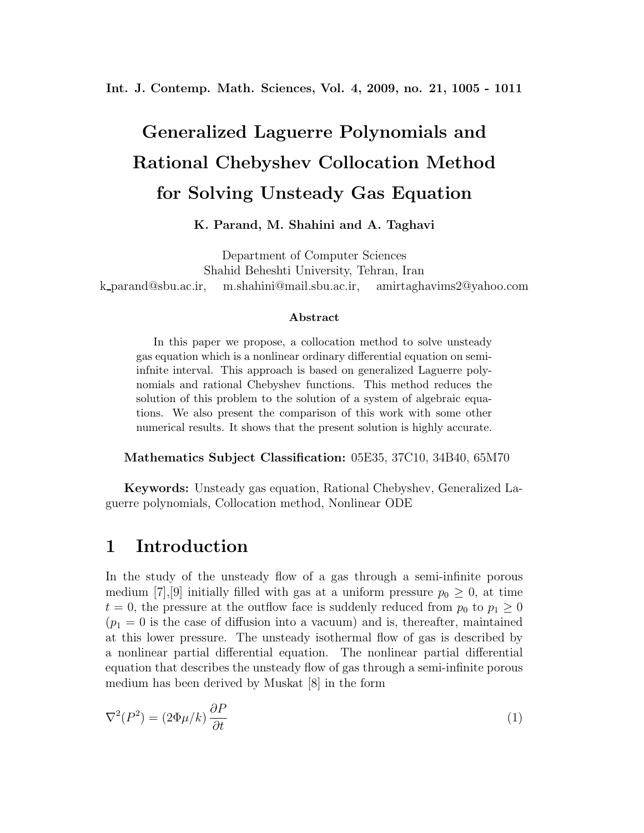**Int. J. Contemp. Math. Sciences, Vol. 4, 2009, no. 21, 1005 - 1011**

# **Generalized Laguerre Polynomials and Rational Chebyshev Collocation Method for Solving Unsteady Gas Equation**

#### **K. Parand, M. Shahini and A. Taghavi**

Department of Computer Sciences Shahid Beheshti University, Tehran, Iran k parand@sbu.ac.ir, m.shahini@mail.sbu.ac.ir, amirtaghavims2@yahoo.com

#### **Abstract**

In this paper we propose, a collocation method to solve unsteady gas equation which is a nonlinear ordinary differential equation on semiinfnite interval. This approach is based on generalized Laguerre polynomials and rational Chebyshev functions. This method reduces the solution of this problem to the solution of a system of algebraic equations. We also present the comparison of this work with some other numerical results. It shows that the present solution is highly accurate.

**Mathematics Subject Classification:** 05E35, 37C10, 34B40, 65M70

**Keywords:** Unsteady gas equation, Rational Chebyshev, Generalized Laguerre polynomials, Collocation method, Nonlinear ODE

### **1 Introduction**

In the study of the unsteady flow of a gas through a semi-infinite porous medium [7], [9] initially filled with gas at a uniform pressure  $p_0 \geq 0$ , at time  $t = 0$ , the pressure at the outflow face is suddenly reduced from  $p_0$  to  $p_1 \geq 0$  $(p_1 = 0$  is the case of diffusion into a vacuum) and is, thereafter, maintained at this lower pressure. The unsteady isothermal flow of gas is described by a nonlinear partial differential equation. The nonlinear partial differential equation that describes the unsteady flow of gas through a semi-infinite porous medium has been derived by Muskat [8] in the form

$$
\nabla^2(P^2) = (2\Phi\mu/k)\frac{\partial P}{\partial t}
$$
 (1)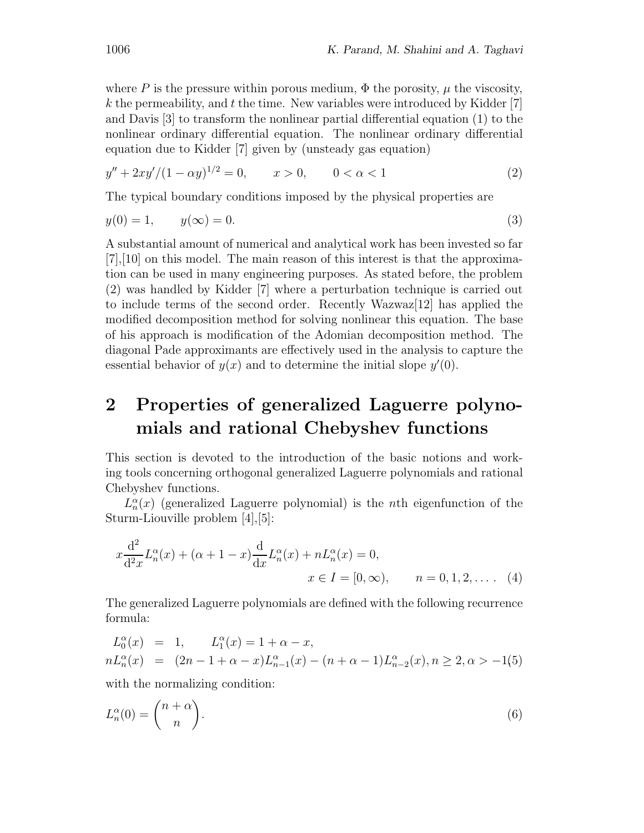where P is the pressure within porous medium,  $\Phi$  the porosity,  $\mu$  the viscosity,  $k$  the permeability, and  $t$  the time. New variables were introduced by Kidder [7] and Davis [3] to transform the nonlinear partial differential equation (1) to the nonlinear ordinary differential equation. The nonlinear ordinary differential equation due to Kidder [7] given by (unsteady gas equation)

$$
y'' + 2xy'/(1 - \alpha y)^{1/2} = 0, \qquad x > 0, \qquad 0 < \alpha < 1
$$
 (2)

The typical boundary conditions imposed by the physical properties are

$$
y(0) = 1, \qquad y(\infty) = 0. \tag{3}
$$

A substantial amount of numerical and analytical work has been invested so far [7],[10] on this model. The main reason of this interest is that the approximation can be used in many engineering purposes. As stated before, the problem (2) was handled by Kidder [7] where a perturbation technique is carried out to include terms of the second order. Recently Wazwaz[12] has applied the modified decomposition method for solving nonlinear this equation. The base of his approach is modification of the Adomian decomposition method. The diagonal Pade approximants are effectively used in the analysis to capture the essential behavior of  $y(x)$  and to determine the initial slope  $y'(0)$ .

# **2 Properties of generalized Laguerre polynomials and rational Chebyshev functions**

This section is devoted to the introduction of the basic notions and working tools concerning orthogonal generalized Laguerre polynomials and rational Chebyshev functions.

 $L_n^{\alpha}(x)$  (generalized Laguerre polynomial) is the *n*th eigenfunction of the Sturm-Liouville problem [4],[5]:

$$
x\frac{d^2}{d^2x}L_n^{\alpha}(x) + (\alpha + 1 - x)\frac{d}{dx}L_n^{\alpha}(x) + nL_n^{\alpha}(x) = 0,
$$
  
\n
$$
x \in I = [0, \infty), \qquad n = 0, 1, 2, \dots
$$
 (4)

The generalized Laguerre polynomials are defined with the following recurrence formula:

$$
L_0^{\alpha}(x) = 1, \qquad L_1^{\alpha}(x) = 1 + \alpha - x,
$$
  
\n
$$
nL_n^{\alpha}(x) = (2n - 1 + \alpha - x)L_{n-1}^{\alpha}(x) - (n + \alpha - 1)L_{n-2}^{\alpha}(x), n \ge 2, \alpha > -1(5)
$$

with the normalizing condition:

$$
L_n^{\alpha}(0) = \binom{n+\alpha}{n}.
$$
\n(6)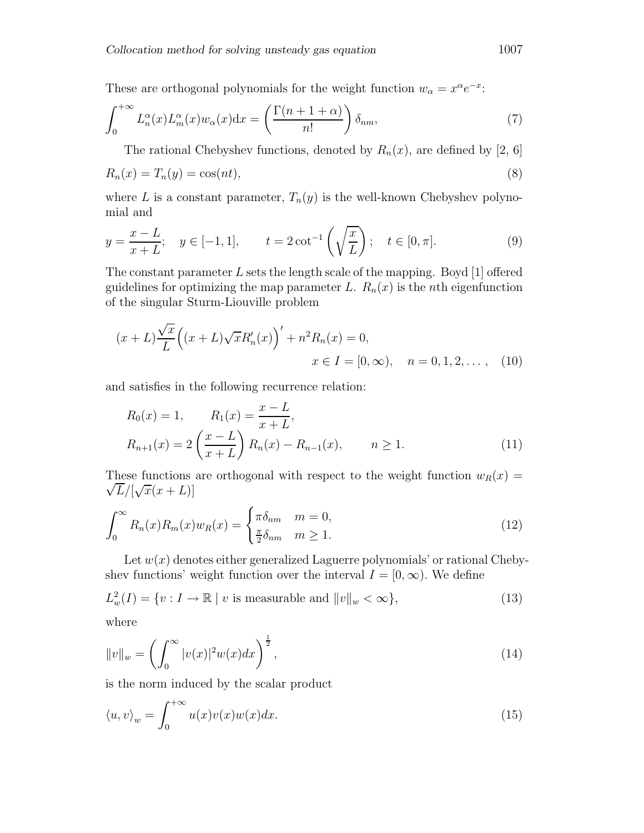These are orthogonal polynomials for the weight function  $w_{\alpha} = x^{\alpha}e^{-x}$ :

$$
\int_0^{+\infty} L_n^{\alpha}(x) L_m^{\alpha}(x) w_{\alpha}(x) dx = \left( \frac{\Gamma(n+1+\alpha)}{n!} \right) \delta_{nm},\tag{7}
$$

The rational Chebyshev functions, denoted by  $R_n(x)$ , are defined by [2, 6]

$$
R_n(x) = T_n(y) = \cos(nt),\tag{8}
$$

where L is a constant parameter,  $T_n(y)$  is the well-known Chebyshev polynomial and

$$
y = \frac{x - L}{x + L}
$$
;  $y \in [-1, 1]$ ,  $t = 2 \cot^{-1} \left(\sqrt{\frac{x}{L}}\right)$ ;  $t \in [0, \pi]$ . (9)

The constant parameter L sets the length scale of the mapping. Boyd  $[1]$  offered guidelines for optimizing the map parameter L.  $R_n(x)$  is the *n*th eigenfunction of the singular Sturm-Liouville problem

$$
(x+L)\frac{\sqrt{x}}{L}((x+L)\sqrt{x}R'_n(x))' + n^2R_n(x) = 0,
$$
  
 $x \in I = [0, \infty), \quad n = 0, 1, 2, ...$ , (10)

and satisfies in the following recurrence relation:

$$
R_0(x) = 1, \t R_1(x) = \frac{x - L}{x + L},
$$
  
\n
$$
R_{n+1}(x) = 2\left(\frac{x - L}{x + L}\right)R_n(x) - R_{n-1}(x), \t n \ge 1.
$$
\n(11)

These functions are orthogonal with respect to the weight function  $w_R(x) = \sqrt{\overline{F}}$  $\frac{\overline{L}}{\sqrt{L}}$   $\sqrt{x(x+L)}$ 

$$
\int_0^\infty R_n(x)R_m(x)w_R(x) = \begin{cases} \pi \delta_{nm} & m = 0, \\ \frac{\pi}{2} \delta_{nm} & m \ge 1. \end{cases}
$$
 (12)

Let  $w(x)$  denotes either generalized Laguerre polynomials' or rational Chebyshev functions' weight function over the interval  $I = [0, \infty)$ . We define

$$
L_w^2(I) = \{v : I \to \mathbb{R} \mid v \text{ is measurable and } ||v||_w < \infty\},\tag{13}
$$
  
where

$$
||v||_{w} = \left(\int_{0}^{\infty} |v(x)|^{2} w(x) dx\right)^{\frac{1}{2}},
$$
\n(14)

is the norm induced by the scalar product

$$
\langle u, v \rangle_w = \int_0^{+\infty} u(x)v(x)w(x)dx.
$$
 (15)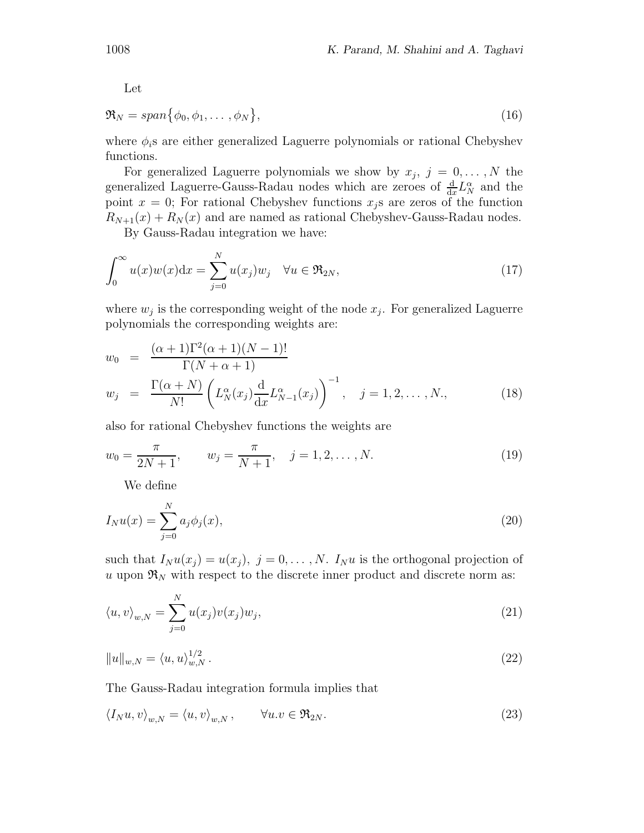Let

$$
\mathfrak{R}_N = span\{\phi_0, \phi_1, \dots, \phi_N\},\tag{16}
$$

where  $\phi_i$ s are either generalized Laguerre polynomials or rational Chebyshev functions.

For generalized Laguerre polynomials we show by  $x_j, j = 0, \ldots, N$  the generalized Laguerre-Gauss-Radau nodes which are zeroes of  $\frac{d}{dx}L_N^{\alpha}$  and the point  $x = 0$ ; For rational Chebyshev functions  $x_i$  are zeros of the function  $R_{N+1}(x) + R_N(x)$  and are named as rational Chebyshev-Gauss-Radau nodes.

By Gauss-Radau integration we have:

$$
\int_0^\infty u(x)w(x)\mathrm{d}x = \sum_{j=0}^N u(x_j)w_j \quad \forall u \in \mathfrak{R}_{2N},\tag{17}
$$

where  $w_j$  is the corresponding weight of the node  $x_j$ . For generalized Laguerre polynomials the corresponding weights are:

$$
w_0 = \frac{(\alpha + 1)\Gamma^2(\alpha + 1)(N - 1)!}{\Gamma(N + \alpha + 1)}
$$
  
\n
$$
w_j = \frac{\Gamma(\alpha + N)}{N!} \left( L_N^{\alpha}(x_j) \frac{d}{dx} L_{N-1}^{\alpha}(x_j) \right)^{-1}, \quad j = 1, 2, ..., N, \quad (18)
$$

also for rational Chebyshev functions the weights are

$$
w_0 = \frac{\pi}{2N+1}, \qquad w_j = \frac{\pi}{N+1}, \quad j = 1, 2, \dots, N.
$$
 (19)

We define

$$
I_N u(x) = \sum_{j=0}^N a_j \phi_j(x),
$$
\n(20)

such that  $I_N u(x_i) = u(x_i)$ ,  $j = 0, \ldots, N$ .  $I_N u$  is the orthogonal projection of u upon  $\mathfrak{R}_N$  with respect to the discrete inner product and discrete norm as:

$$
\langle u, v \rangle_{w,N} = \sum_{j=0}^{N} u(x_j) v(x_j) w_j,
$$
\n(21)

$$
||u||_{w,N} = \langle u, u \rangle_{w,N}^{1/2}.
$$
\n(22)

The Gauss-Radau integration formula implies that

$$
\langle I_N u, v \rangle_{w,N} = \langle u, v \rangle_{w,N}, \qquad \forall u. v \in \mathfrak{R}_{2N}.
$$
 (23)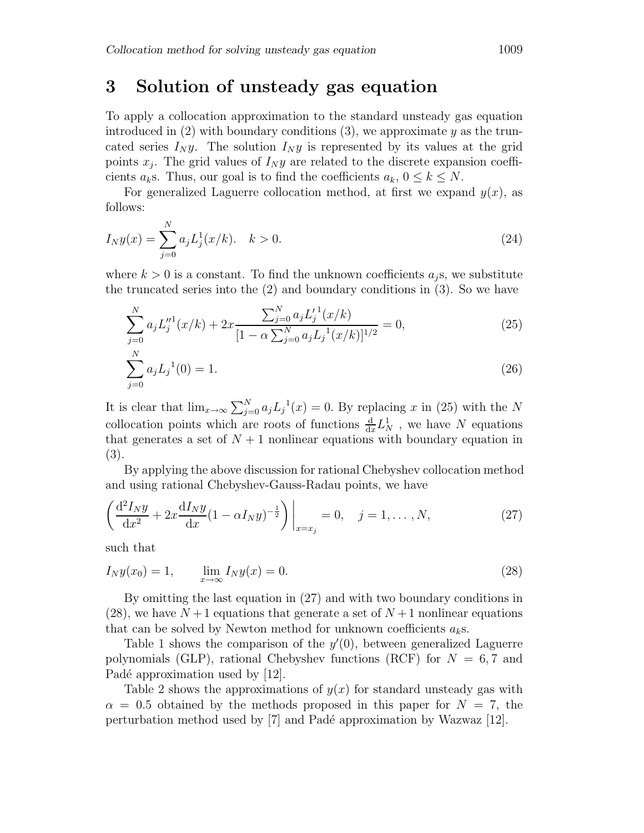### **3 Solution of unsteady gas equation**

To apply a collocation approximation to the standard unsteady gas equation introduced in  $(2)$  with boundary conditions  $(3)$ , we approximate y as the truncated series  $I_N y$ . The solution  $I_N y$  is represented by its values at the grid points  $x_i$ . The grid values of  $I_N y$  are related to the discrete expansion coefficients  $a_k$ s. Thus, our goal is to find the coefficients  $a_k$ ,  $0 \le k \le N$ .

For generalized Laguerre collocation method, at first we expand  $y(x)$ , as follows:

$$
I_N y(x) = \sum_{j=0}^N a_j L_j^1(x/k). \quad k > 0.
$$
 (24)

where  $k > 0$  is a constant. To find the unknown coefficients  $a_j$ s, we substitute the truncated series into the (2) and boundary conditions in (3). So we have

$$
\sum_{j=0}^{N} a_j L_j''^1(x/k) + 2x \frac{\sum_{j=0}^{N} a_j L_j'^1(x/k)}{[1 - \alpha \sum_{j=0}^{N} a_j L_j^{-1}(x/k)]^{1/2}} = 0,
$$
\n(25)\n
$$
\sum_{j=0}^{N} a_j L_j^{-1}(0) = 1.
$$
\n(26)

$$
\sum_{j=0} a_j L_j^{\text{-}}(0) = 1. \tag{26}
$$

It is clear that  $\lim_{x\to\infty}\sum_{j=0}^N a_jL_j^{-1}(x)=0$ . By replacing x in (25) with the N collocation points which are roots of functions  $\frac{d}{dx}L_N^1$ , we have N equations that generates a set of  $N+1$  nonlinear equations with boundary equation in (3).

By applying the above discussion for rational Chebyshev collocation method and using rational Chebyshev-Gauss-Radau points, we have

$$
\left(\frac{d^2 I_N y}{dx^2} + 2x \frac{dI_N y}{dx} (1 - \alpha I_N y)^{-\frac{1}{2}}\right)\bigg|_{x=x_j} = 0, \quad j = 1, \dots, N,
$$
\n(27)

such that

$$
I_N y(x_0) = 1, \qquad \lim_{x \to \infty} I_N y(x) = 0.
$$
 (28)

By omitting the last equation in (27) and with two boundary conditions in  $(28)$ , we have  $N+1$  equations that generate a set of  $N+1$  nonlinear equations that can be solved by Newton method for unknown coefficients  $a_k$ s.

Table 1 shows the comparison of the  $y'(0)$ , between generalized Laguerre polynomials (GLP), rational Chebyshev functions (RCF) for  $N = 6, 7$  and Padé approximation used by  $|12|$ .

Table 2 shows the approximations of  $y(x)$  for standard unsteady gas with  $\alpha = 0.5$  obtained by the methods proposed in this paper for  $N = 7$ , the perturbation method used by  $|7|$  and Padé approximation by Wazwaz  $|12|$ .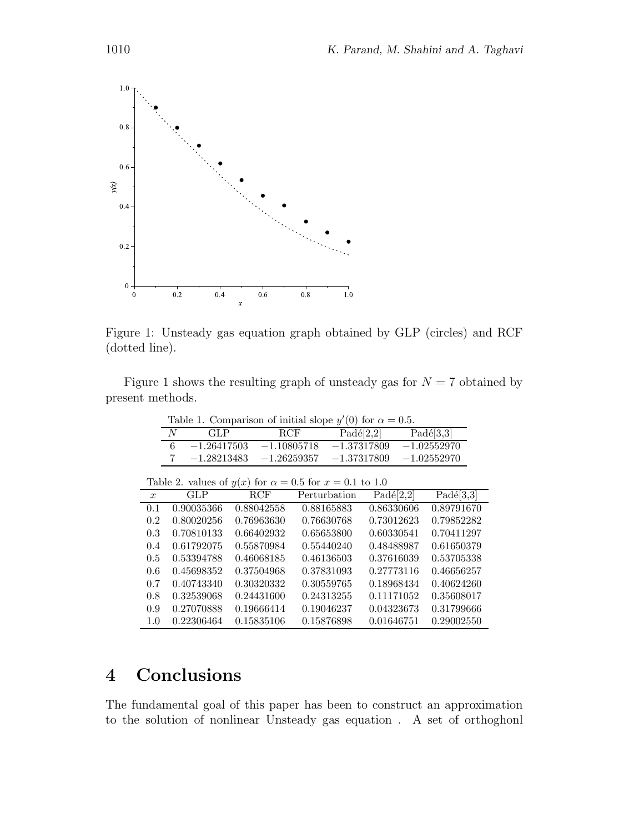

Figure 1: Unsteady gas equation graph obtained by GLP (circles) and RCF (dotted line).

Figure 1 shows the resulting graph of unsteady gas for  $N = 7$  obtained by present methods.

|        |                                                                                                          | Table 1. Comparison of initial slope $y'(0)$ for $\alpha = 0.5$ . |                                                                                                                                                                                                                                                                                                                                                                                      |                                    |
|--------|----------------------------------------------------------------------------------------------------------|-------------------------------------------------------------------|--------------------------------------------------------------------------------------------------------------------------------------------------------------------------------------------------------------------------------------------------------------------------------------------------------------------------------------------------------------------------------------|------------------------------------|
| N      | - GLP                                                                                                    | RCF                                                               | Padé[2,2]                                                                                                                                                                                                                                                                                                                                                                            | Padé[3,3]                          |
| $\sim$ | $\overline{a}$ $\overline{a}$ $\overline{a}$ $\overline{a}$ $\overline{a}$ $\overline{a}$ $\overline{a}$ | $\overline{a}$ and $\overline{a}$ and $\overline{a}$              | $\overline{a}$ $\overline{a}$ $\overline{a}$ $\overline{a}$ $\overline{a}$ $\overline{a}$ $\overline{a}$ $\overline{a}$ $\overline{a}$ $\overline{a}$ $\overline{a}$ $\overline{a}$ $\overline{a}$ $\overline{a}$ $\overline{a}$ $\overline{a}$ $\overline{a}$ $\overline{a}$ $\overline{a}$ $\overline{a}$ $\overline{a}$ $\overline{a}$ $\overline{a}$ $\overline{a}$ $\overline{$ | $\sim$ $\sim$ $\sim$ $\sim$ $\sim$ |

| $-1.26417503$ | $-1.10805718$ | $-1.37317809$ | $-1.02552970$ |
|---------------|---------------|---------------|---------------|
| $-1.28213483$ | $-1.26259357$ | $-1.37317809$ | $-1.02552970$ |
|               |               |               |               |

| Table 2. values of $y(x)$ for $\alpha = 0.5$ for $x = 0.1$ to 1.0 |            |            |              |            |                                 |  |  |  |  |
|-------------------------------------------------------------------|------------|------------|--------------|------------|---------------------------------|--|--|--|--|
| $\boldsymbol{x}$                                                  | GLP        | <b>RCF</b> | Perturbation | Padé[2,2]  | $\overline{\text{Pad\'e}[3,3]}$ |  |  |  |  |
| 0.1                                                               | 0.90035366 | 0.88042558 | 0.88165883   | 0.86330606 | 0.89791670                      |  |  |  |  |
| 0.2                                                               | 0.80020256 | 0.76963630 | 0.76630768   | 0.73012623 | 0.79852282                      |  |  |  |  |
| 0.3                                                               | 0.70810133 | 0.66402932 | 0.65653800   | 0.60330541 | 0.70411297                      |  |  |  |  |
| 0.4                                                               | 0.61792075 | 0.55870984 | 0.55440240   | 0.48488987 | 0.61650379                      |  |  |  |  |
| 0.5                                                               | 0.53394788 | 0.46068185 | 0.46136503   | 0.37616039 | 0.53705338                      |  |  |  |  |
| 0.6                                                               | 0.45698352 | 0.37504968 | 0.37831093   | 0.27773116 | 0.46656257                      |  |  |  |  |
| 0.7                                                               | 0.40743340 | 0.30320332 | 0.30559765   | 0.18968434 | 0.40624260                      |  |  |  |  |
| 0.8                                                               | 0.32539068 | 0.24431600 | 0.24313255   | 0.11171052 | 0.35608017                      |  |  |  |  |
| 0.9                                                               | 0.27070888 | 0.19666414 | 0.19046237   | 0.04323673 | 0.31799666                      |  |  |  |  |
| 1.0                                                               | 0.22306464 | 0.15835106 | 0.15876898   | 0.01646751 | 0.29002550                      |  |  |  |  |

# **4 Conclusions**

The fundamental goal of this paper has been to construct an approximation to the solution of nonlinear Unsteady gas equation . A set of orthoghonl